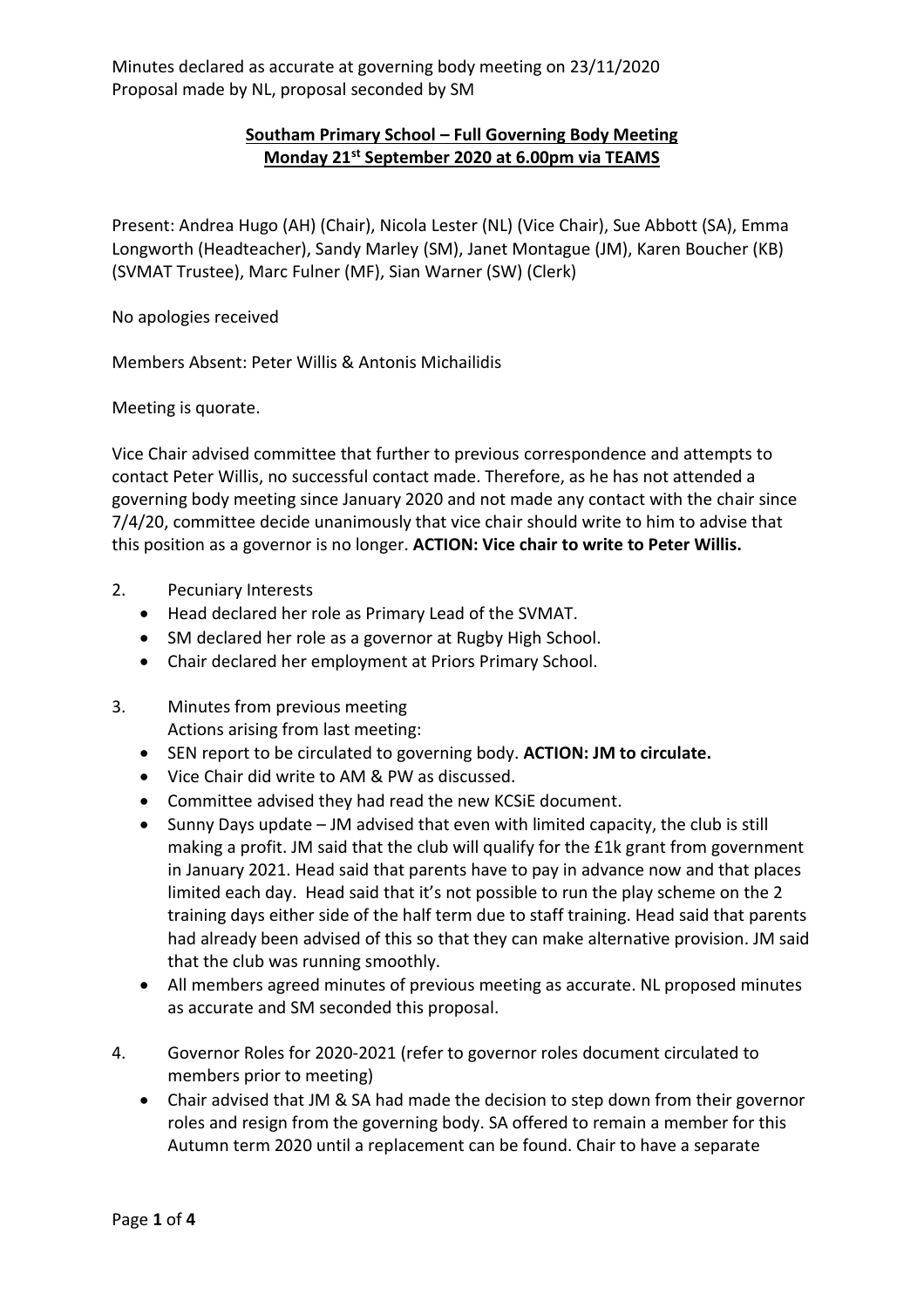## **Southam Primary School – Full Governing Body Meeting Monday 21st September 2020 at 6.00pm via TEAMS**

Present: Andrea Hugo (AH) (Chair), Nicola Lester (NL) (Vice Chair), Sue Abbott (SA), Emma Longworth (Headteacher), Sandy Marley (SM), Janet Montague (JM), Karen Boucher (KB) (SVMAT Trustee), Marc Fulner (MF), Sian Warner (SW) (Clerk)

No apologies received

Members Absent: Peter Willis & Antonis Michailidis

Meeting is quorate.

Vice Chair advised committee that further to previous correspondence and attempts to contact Peter Willis, no successful contact made. Therefore, as he has not attended a governing body meeting since January 2020 and not made any contact with the chair since 7/4/20, committee decide unanimously that vice chair should write to him to advise that this position as a governor is no longer. **ACTION: Vice chair to write to Peter Willis.**

- 2. Pecuniary Interests
	- Head declared her role as Primary Lead of the SVMAT.
	- SM declared her role as a governor at Rugby High School.
	- Chair declared her employment at Priors Primary School.
- 3. Minutes from previous meeting Actions arising from last meeting:
	- SEN report to be circulated to governing body. **ACTION: JM to circulate.**
	- Vice Chair did write to AM & PW as discussed.
	- Committee advised they had read the new KCSiE document.
	- Sunny Days update JM advised that even with limited capacity, the club is still making a profit. JM said that the club will qualify for the £1k grant from government in January 2021. Head said that parents have to pay in advance now and that places limited each day. Head said that it's not possible to run the play scheme on the 2 training days either side of the half term due to staff training. Head said that parents had already been advised of this so that they can make alternative provision. JM said that the club was running smoothly.
	- All members agreed minutes of previous meeting as accurate. NL proposed minutes as accurate and SM seconded this proposal.
- 4. Governor Roles for 2020-2021 (refer to governor roles document circulated to members prior to meeting)
	- Chair advised that JM & SA had made the decision to step down from their governor roles and resign from the governing body. SA offered to remain a member for this Autumn term 2020 until a replacement can be found. Chair to have a separate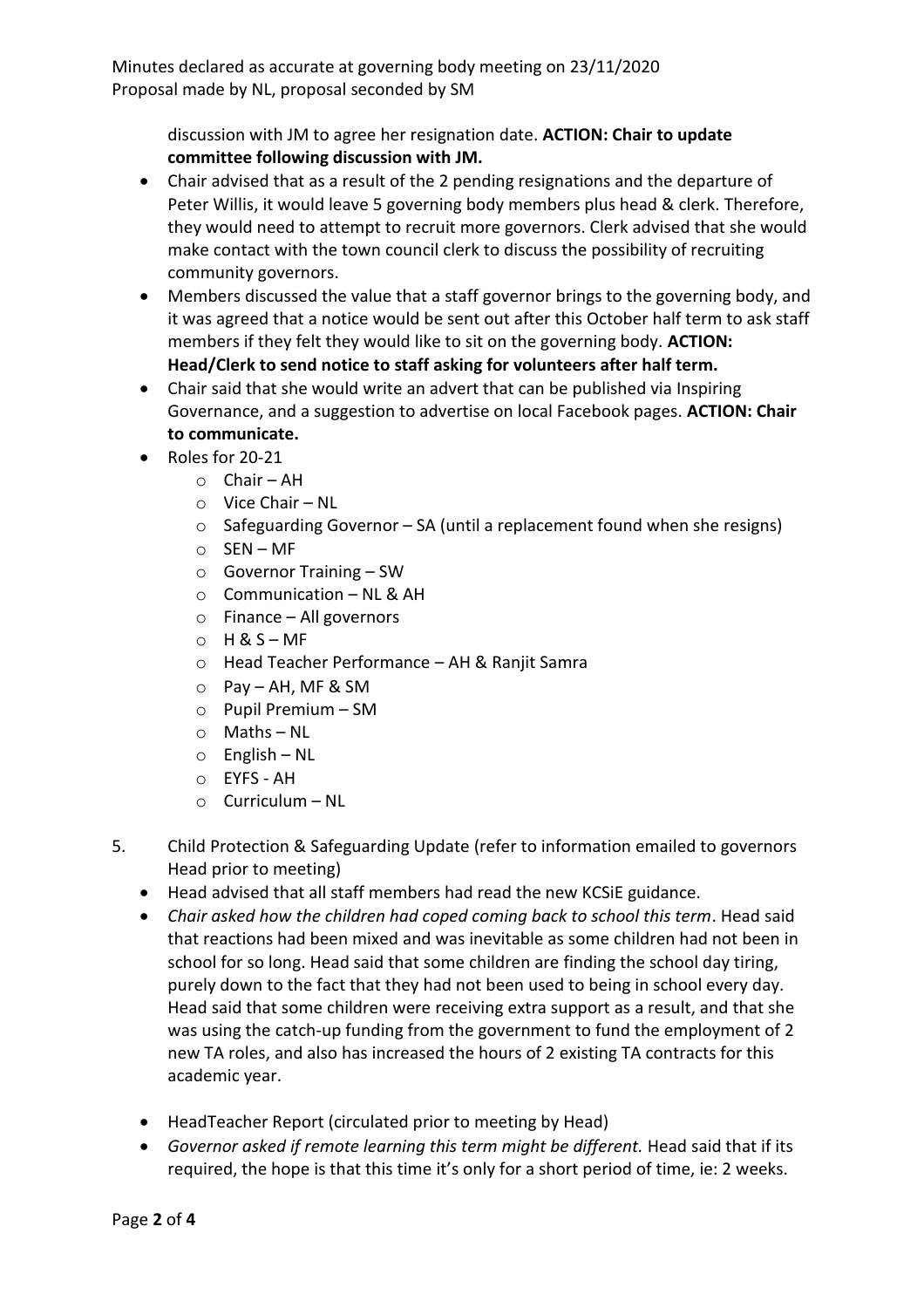> discussion with JM to agree her resignation date. **ACTION: Chair to update committee following discussion with JM.**

- Chair advised that as a result of the 2 pending resignations and the departure of Peter Willis, it would leave 5 governing body members plus head & clerk. Therefore, they would need to attempt to recruit more governors. Clerk advised that she would make contact with the town council clerk to discuss the possibility of recruiting community governors.
- Members discussed the value that a staff governor brings to the governing body, and it was agreed that a notice would be sent out after this October half term to ask staff members if they felt they would like to sit on the governing body. **ACTION: Head/Clerk to send notice to staff asking for volunteers after half term.**
- Chair said that she would write an advert that can be published via Inspiring Governance, and a suggestion to advertise on local Facebook pages. **ACTION: Chair to communicate.**
- Roles for 20-21
	- o Chair AH
	- o Vice Chair NL
	- o Safeguarding Governor SA (until a replacement found when she resigns)
	- o SEN MF
	- o Governor Training SW
	- $\circ$  Communication NL & AH
	- o Finance All governors
	- $O$  H & S MF
	- o Head Teacher Performance AH & Ranjit Samra
	- o Pay AH, MF & SM
	- o Pupil Premium SM
	- o Maths NL
	- o English NL
	- o EYFS AH
	- o Curriculum NL
- 5. Child Protection & Safeguarding Update (refer to information emailed to governors Head prior to meeting)
	- Head advised that all staff members had read the new KCSiE guidance.
	- *Chair asked how the children had coped coming back to school this term*. Head said that reactions had been mixed and was inevitable as some children had not been in school for so long. Head said that some children are finding the school day tiring, purely down to the fact that they had not been used to being in school every day. Head said that some children were receiving extra support as a result, and that she was using the catch-up funding from the government to fund the employment of 2 new TA roles, and also has increased the hours of 2 existing TA contracts for this academic year.
	- HeadTeacher Report (circulated prior to meeting by Head)
	- *Governor asked if remote learning this term might be different.* Head said that if its required, the hope is that this time it's only for a short period of time, ie: 2 weeks.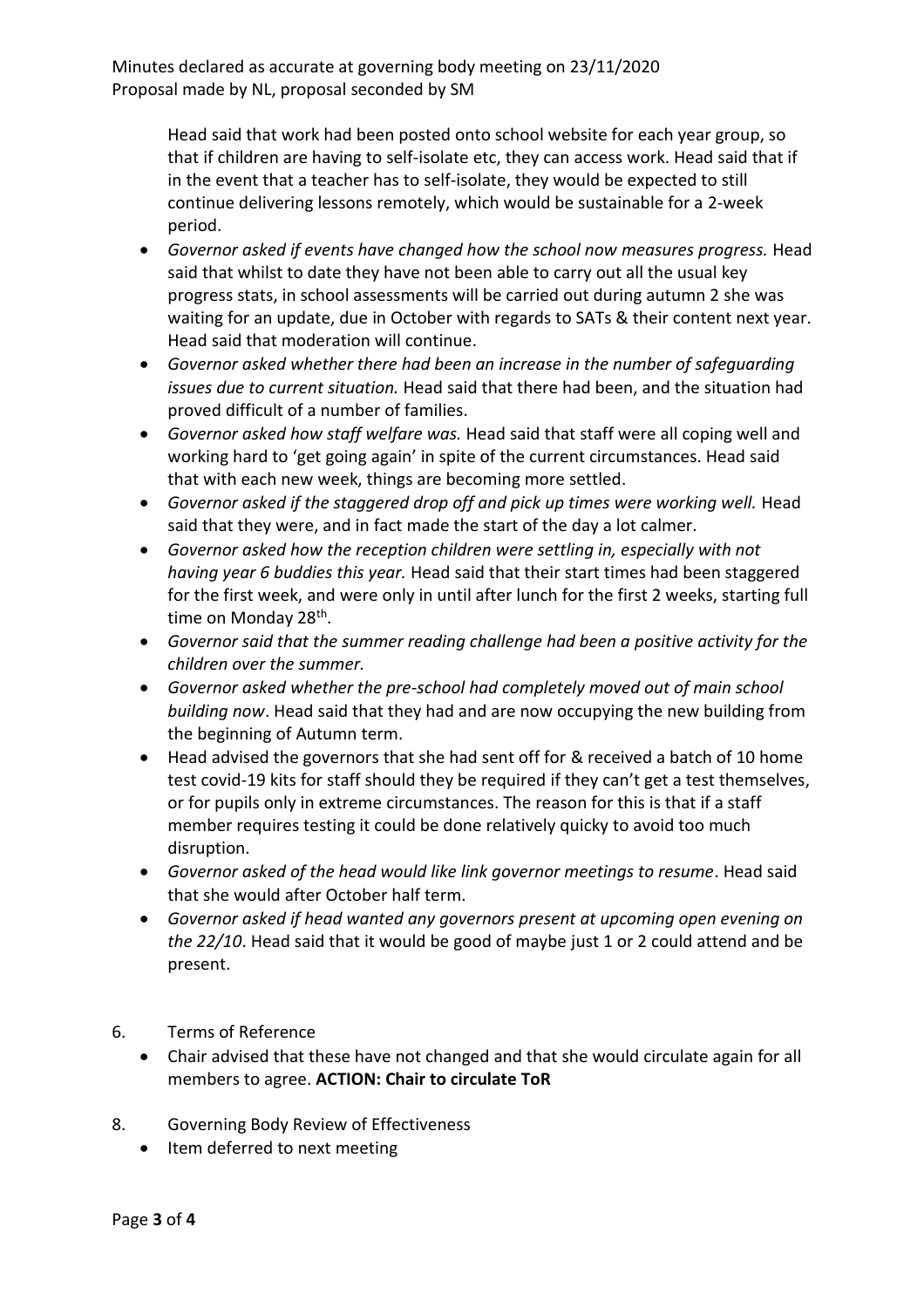Head said that work had been posted onto school website for each year group, so that if children are having to self-isolate etc, they can access work. Head said that if in the event that a teacher has to self-isolate, they would be expected to still continue delivering lessons remotely, which would be sustainable for a 2-week period.

- *Governor asked if events have changed how the school now measures progress.* Head said that whilst to date they have not been able to carry out all the usual key progress stats, in school assessments will be carried out during autumn 2 she was waiting for an update, due in October with regards to SATs & their content next year. Head said that moderation will continue.
- *Governor asked whether there had been an increase in the number of safeguarding issues due to current situation.* Head said that there had been, and the situation had proved difficult of a number of families.
- *Governor asked how staff welfare was.* Head said that staff were all coping well and working hard to 'get going again' in spite of the current circumstances. Head said that with each new week, things are becoming more settled.
- *Governor asked if the staggered drop off and pick up times were working well.* Head said that they were, and in fact made the start of the day a lot calmer.
- *Governor asked how the reception children were settling in, especially with not having year 6 buddies this year.* Head said that their start times had been staggered for the first week, and were only in until after lunch for the first 2 weeks, starting full time on Monday 28<sup>th</sup>.
- *Governor said that the summer reading challenge had been a positive activity for the children over the summer.*
- *Governor asked whether the pre-school had completely moved out of main school building now*. Head said that they had and are now occupying the new building from the beginning of Autumn term.
- Head advised the governors that she had sent off for & received a batch of 10 home test covid-19 kits for staff should they be required if they can't get a test themselves, or for pupils only in extreme circumstances. The reason for this is that if a staff member requires testing it could be done relatively quicky to avoid too much disruption.
- *Governor asked of the head would like link governor meetings to resume*. Head said that she would after October half term.
- *Governor asked if head wanted any governors present at upcoming open evening on the 22/10*. Head said that it would be good of maybe just 1 or 2 could attend and be present.
- 6. Terms of Reference
	- Chair advised that these have not changed and that she would circulate again for all members to agree. **ACTION: Chair to circulate ToR**
- 8. Governing Body Review of Effectiveness
	- Item deferred to next meeting